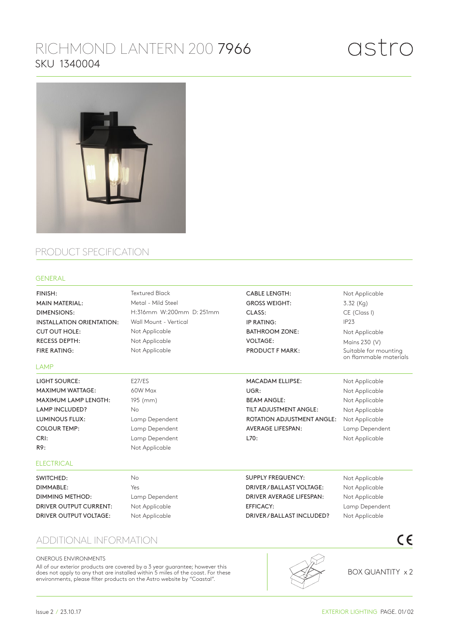# RICHMOND LANTERN 200 7966 SKU 1340004



## PRODUCT SPECIFICATION

### GENERAL

Not Applicable Not Applicable Not Applicable Lamp Dependent Not Applicable Not Applicable Not Applicable Not Applicable Not Applicable Not Applicable Lamp Dependent Not Applicable Not Applicable 3.32 (Kg) CE (Class I) IP23 Not Applicable Mains 230 (V) Suitable for mounting on flammable materials E27/ES 60W Max 195 (mm) No Lamp Dependent Lamp Dependent Lamp Dependent Not Applicable No Yes Lamp Dependent Not Applicable Not Applicable Textured Black Metal - Mild Steel H:316mm W:200mm D: 251mm Wall Mount - Vertical Not Applicable Not Applicable Not Applicable FINISH: MAIN MATERIAL: DIMENSIONS: INSTALLATION ORIENTATION: CUT OUT HOLE: RECESS DEPTH: FIRE RATING: CABLE LENGTH: GROSS WEIGHT: CLASS: IP RATING: BATHROOM ZONE: VOLTAGE: PRODUCT F MARK: LIGHT SOURCE: MAXIMUM WATTAGE: MAXIMUM LAMP LENGTH: LAMP INCLUDED? LUMINOUS FLUX: COLOUR TEMP: CRI: R9: MACADAM ELLIPSE: UGR: BEAM ANGLE: TILT ADJUSTMENT ANGLE: ROTATION ADJUSTMENT ANGLE: AVERAGE LIFESPAN: L70: SWITCHED: DIMMABLE: DIMMING METHOD: DRIVER OUTPUT CURRENT: DRIVER OUTPUT VOLTAGE: SUPPLY FREQUENCY: DRIVER / BALLAST VOLTAGE: DRIVER AVERAGE LIFESPAN: EFFICACY: DRIVER / BALLAST INCLUDED? LAMP **ELECTRICAL** 

### ADDITIONAL INFORMATION

#### ONEROUS ENVIRONMENTS

All of our exterior products are covered by a 3 year guarantee; however this does not apply to any that are installed within 5 miles of the coast. For these environments, please filter products on the Astro website by "Coastal".



BOX QUANTITY x 2

 $\epsilon$